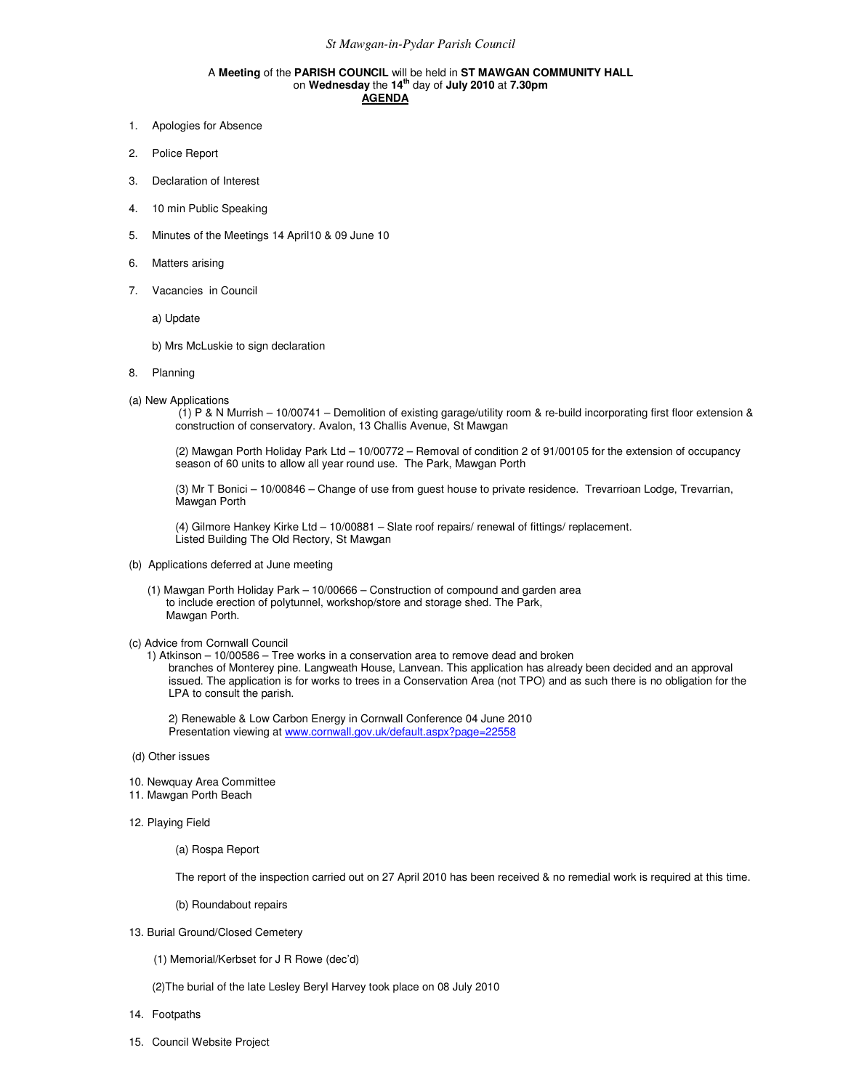## A **Meeting** of the **PARISH COUNCIL** will be held in **ST MAWGAN COMMUNITY HALL** on **Wednesday** the **14th** day of **July 2010** at **7.30pm AGENDA**

- 1. Apologies for Absence
- 2. Police Report
- 3. Declaration of Interest
- 4. 10 min Public Speaking
- 5. Minutes of the Meetings 14 April10 & 09 June 10
- 6. Matters arising
- 7. Vacancies in Council

a) Update

- b) Mrs McLuskie to sign declaration
- 8. Planning
- (a) New Applications

 (1) P & N Murrish – 10/00741 – Demolition of existing garage/utility room & re-build incorporating first floor extension & construction of conservatory. Avalon, 13 Challis Avenue, St Mawgan

(2) Mawgan Porth Holiday Park Ltd – 10/00772 – Removal of condition 2 of 91/00105 for the extension of occupancy season of 60 units to allow all year round use. The Park, Mawgan Porth

(3) Mr T Bonici – 10/00846 – Change of use from guest house to private residence. Trevarrioan Lodge, Trevarrian, Mawgan Porth

(4) Gilmore Hankey Kirke Ltd – 10/00881 – Slate roof repairs/ renewal of fittings/ replacement. Listed Building The Old Rectory, St Mawgan

- (b) Applications deferred at June meeting
	- (1) Mawgan Porth Holiday Park 10/00666 Construction of compound and garden area to include erection of polytunnel, workshop/store and storage shed. The Park, Mawgan Porth.

## (c) Advice from Cornwall Council

1) Atkinson – 10/00586 – Tree works in a conservation area to remove dead and broken branches of Monterey pine. Langweath House, Lanvean. This application has already been decided and an approval issued. The application is for works to trees in a Conservation Area (not TPO) and as such there is no obligation for the LPA to consult the parish.

2) Renewable & Low Carbon Energy in Cornwall Conference 04 June 2010 Presentation viewing at www.cornwall.gov.uk/default.aspx?page=22558

- (d) Other issues
- 10. Newquay Area Committee
- 11. Mawgan Porth Beach
- 12. Playing Field
	- (a) Rospa Report

The report of the inspection carried out on 27 April 2010 has been received & no remedial work is required at this time.

- (b) Roundabout repairs
- 13. Burial Ground/Closed Cemetery
	- (1) Memorial/Kerbset for J R Rowe (dec'd)
	- (2)The burial of the late Lesley Beryl Harvey took place on 08 July 2010
- 14. Footpaths
- 15. Council Website Project